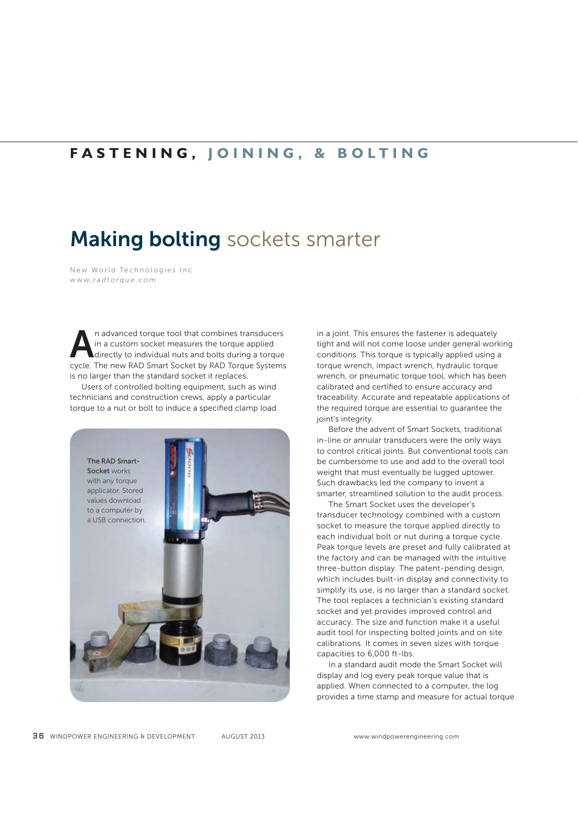## **FASTENING, JOINING, & BOLTING**

## **Making bolting** sockets smarter

New World Technologies Inc *www.radtorque.com*

**A**n advanced torque tool that combines transducers<br>in a custom socket measures the torque applied<br>directly to individual nuts and bolts during a torque<br>cycle. The new RAD Smart Socket by RAD Torque Systems<br>is no larger th in a custom socket measures the torque applied directly to individual nuts and bolts during a torque cycle. The new RAD Smart Socket by RAD Torque Systems is no larger than the standard socket it replaces.

 Users of controlled bolting equipment, such as wind technicians and construction crews, apply a particular torque to a nut or bolt to induce a specified clamp load



in a joint. This ensures the fastener is adequately tight and will not come loose under general working conditions. This torque is typically applied using a torque wrench, impact wrench, hydraulic torque wrench, or pneumatic torque tool, which has been calibrated and certified to ensure accuracy and traceability. Accurate and repeatable applications of the required torque are essential to guarantee the joint's integrity.

 Before the advent of Smart Sockets, traditional in-line or annular transducers were the only ways to control critical joints. But conventional tools can be cumbersome to use and add to the overall tool weight that must eventually be lugged uptower. Such drawbacks led the company to invent a smarter, streamlined solution to the audit process.

 The Smart Socket uses the developer's transducer technology combined with a custom socket to measure the torque applied directly to each individual bolt or nut during a torque cycle. Peak torque levels are preset and fully calibrated at the factory and can be managed with the intuitive three-button display. The patent-pending design, which includes built-in display and connectivity to simplify its use, is no larger than a standard socket. The tool replaces a technician's existing standard socket and yet provides improved control and accuracy. The size and function make it a useful audit tool for inspecting bolted joints and on site calibrations. It comes in seven sizes with torque capacities to 6,000 ft-lbs.

 In a standard audit mode the Smart Socket will display and log every peak torque value that is applied. When connected to a computer, the log provides a time stamp and measure for actual torque